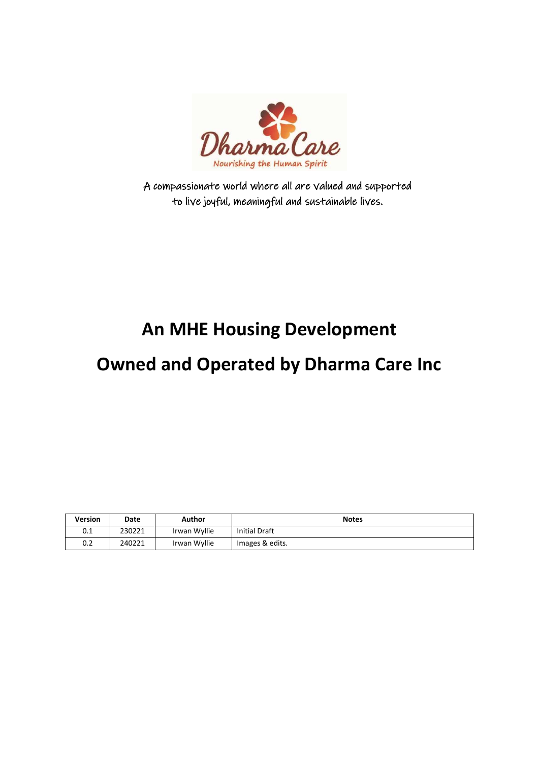

A compassionate world where all are valued and supported to live joyful, meaningful and sustainable lives.

# **An MHE Housing Development**

## **Owned and Operated by Dharma Care Inc**

| <b>Version</b> | Date   | Author       | <b>Notes</b>         |
|----------------|--------|--------------|----------------------|
| 0.1            | 230221 | Irwan Wyllie | <b>Initial Draft</b> |
| 0.2            | 240221 | Irwan Wyllie | Images & edits.      |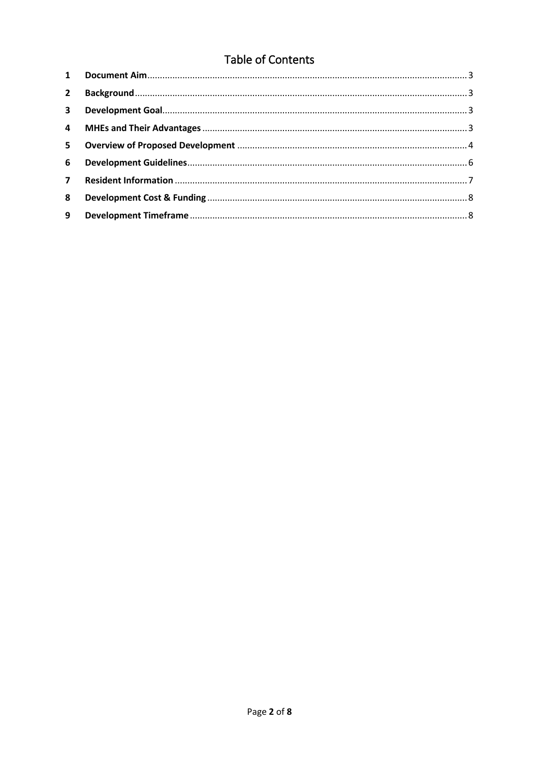### Table of Contents

| $2^{\circ}$    |  |
|----------------|--|
| $\mathbf{3}$   |  |
|                |  |
| 5 <sup>1</sup> |  |
| 6              |  |
| $\overline{7}$ |  |
| 8              |  |
| 9              |  |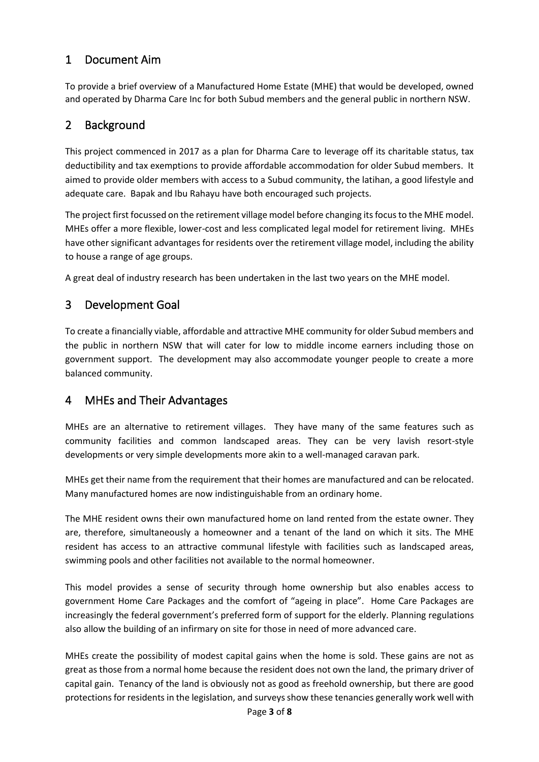#### <span id="page-2-0"></span>1 Document Aim

To provide a brief overview of a Manufactured Home Estate (MHE) that would be developed, owned and operated by Dharma Care Inc for both Subud members and the general public in northern NSW.

#### <span id="page-2-1"></span>2 Background

This project commenced in 2017 as a plan for Dharma Care to leverage off its charitable status, tax deductibility and tax exemptions to provide affordable accommodation for older Subud members. It aimed to provide older members with access to a Subud community, the latihan, a good lifestyle and adequate care. Bapak and Ibu Rahayu have both encouraged such projects.

The project first focussed on the retirement village model before changing its focus to the MHE model. MHEs offer a more flexible, lower-cost and less complicated legal model for retirement living. MHEs have other significant advantages for residents over the retirement village model, including the ability to house a range of age groups.

A great deal of industry research has been undertaken in the last two years on the MHE model.

#### <span id="page-2-2"></span>3 Development Goal

To create a financially viable, affordable and attractive MHE community for older Subud members and the public in northern NSW that will cater for low to middle income earners including those on government support. The development may also accommodate younger people to create a more balanced community.

#### <span id="page-2-3"></span>4 MHEs and Their Advantages

MHEs are an alternative to retirement villages. They have many of the same features such as community facilities and common landscaped areas. They can be very lavish resort-style developments or very simple developments more akin to a well-managed caravan park.

MHEs get their name from the requirement that their homes are manufactured and can be relocated. Many manufactured homes are now indistinguishable from an ordinary home.

The MHE resident owns their own manufactured home on land rented from the estate owner. They are, therefore, simultaneously a homeowner and a tenant of the land on which it sits. The MHE resident has access to an attractive communal lifestyle with facilities such as landscaped areas, swimming pools and other facilities not available to the normal homeowner.

This model provides a sense of security through home ownership but also enables access to government Home Care Packages and the comfort of "ageing in place". Home Care Packages are increasingly the federal government's preferred form of support for the elderly. Planning regulations also allow the building of an infirmary on site for those in need of more advanced care.

MHEs create the possibility of modest capital gains when the home is sold. These gains are not as great as those from a normal home because the resident does not own the land, the primary driver of capital gain. Tenancy of the land is obviously not as good as freehold ownership, but there are good protections for residents in the legislation, and surveys show these tenancies generally work well with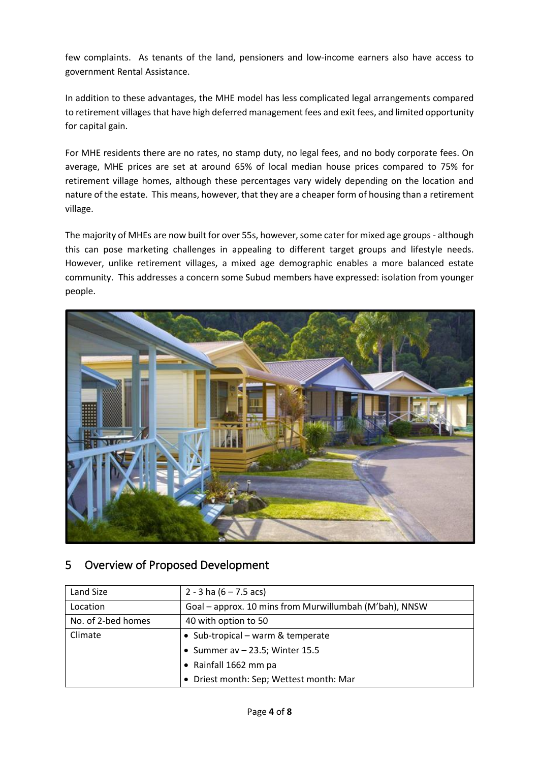few complaints. As tenants of the land, pensioners and low-income earners also have access to government Rental Assistance.

In addition to these advantages, the MHE model has less complicated legal arrangements compared to retirement villages that have high deferred management fees and exit fees, and limited opportunity for capital gain.

For MHE residents there are no rates, no stamp duty, no legal fees, and no body corporate fees. On average, MHE prices are set at around 65% of local median house prices compared to 75% for retirement village homes, although these percentages vary widely depending on the location and nature of the estate. This means, however, that they are a cheaper form of housing than a retirement village.

The majority of MHEs are now built for over 55s, however, some cater for mixed age groups - although this can pose marketing challenges in appealing to different target groups and lifestyle needs. However, unlike retirement villages, a mixed age demographic enables a more balanced estate community. This addresses a concern some Subud members have expressed: isolation from younger people.



#### <span id="page-3-0"></span>5 Overview of Proposed Development

| Land Size          | 2 - 3 ha $(6 - 7.5$ acs)                               |  |
|--------------------|--------------------------------------------------------|--|
| Location           | Goal - approx. 10 mins from Murwillumbah (M'bah), NNSW |  |
| No. of 2-bed homes | 40 with option to 50                                   |  |
| Climate            | • Sub-tropical – warm & temperate                      |  |
|                    | • Summer av $-$ 23.5; Winter 15.5                      |  |
|                    | • Rainfall 1662 mm pa                                  |  |
|                    | • Driest month: Sep; Wettest month: Mar                |  |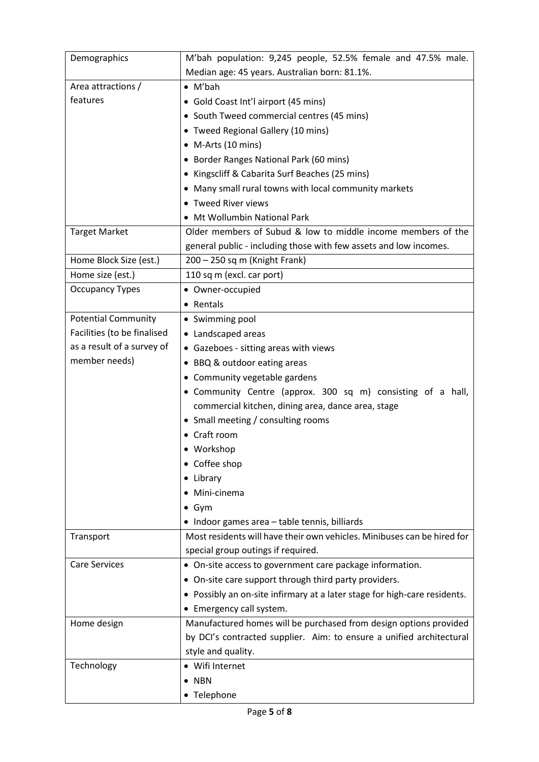| Demographics                | M'bah population: 9,245 people, 52.5% female and 47.5% male.              |  |  |
|-----------------------------|---------------------------------------------------------------------------|--|--|
|                             | Median age: 45 years. Australian born: 81.1%.                             |  |  |
| Area attractions /          | $\bullet$ M'bah                                                           |  |  |
| features                    | • Gold Coast Int'l airport (45 mins)                                      |  |  |
|                             | • South Tweed commercial centres (45 mins)                                |  |  |
|                             | • Tweed Regional Gallery (10 mins)                                        |  |  |
|                             | • M-Arts (10 mins)                                                        |  |  |
|                             | • Border Ranges National Park (60 mins)                                   |  |  |
|                             | • Kingscliff & Cabarita Surf Beaches (25 mins)                            |  |  |
|                             | • Many small rural towns with local community markets                     |  |  |
|                             | • Tweed River views                                                       |  |  |
|                             | • Mt Wollumbin National Park                                              |  |  |
| <b>Target Market</b>        | Older members of Subud & low to middle income members of the              |  |  |
|                             | general public - including those with few assets and low incomes.         |  |  |
| Home Block Size (est.)      | 200 – 250 sq m (Knight Frank)                                             |  |  |
| Home size (est.)            | 110 sq m (excl. car port)                                                 |  |  |
| <b>Occupancy Types</b>      | • Owner-occupied                                                          |  |  |
|                             | • Rentals                                                                 |  |  |
| <b>Potential Community</b>  | • Swimming pool                                                           |  |  |
| Facilities (to be finalised | • Landscaped areas                                                        |  |  |
| as a result of a survey of  | • Gazeboes - sitting areas with views                                     |  |  |
| member needs)               | • BBQ & outdoor eating areas                                              |  |  |
|                             | • Community vegetable gardens                                             |  |  |
|                             | • Community Centre (approx. 300 sq m) consisting of a hall,               |  |  |
|                             | commercial kitchen, dining area, dance area, stage                        |  |  |
|                             | • Small meeting / consulting rooms                                        |  |  |
|                             | • Craft room                                                              |  |  |
|                             | • Workshop                                                                |  |  |
|                             | • Coffee shop                                                             |  |  |
|                             | • Library                                                                 |  |  |
|                             | • Mini-cinema                                                             |  |  |
|                             | $\bullet$ Gym                                                             |  |  |
|                             | • Indoor games area - table tennis, billiards                             |  |  |
| Transport                   | Most residents will have their own vehicles. Minibuses can be hired for   |  |  |
|                             | special group outings if required.                                        |  |  |
| <b>Care Services</b>        | • On-site access to government care package information.                  |  |  |
|                             | • On-site care support through third party providers.                     |  |  |
|                             | • Possibly an on-site infirmary at a later stage for high-care residents. |  |  |
|                             | • Emergency call system.                                                  |  |  |
| Home design                 | Manufactured homes will be purchased from design options provided         |  |  |
|                             | by DCI's contracted supplier. Aim: to ensure a unified architectural      |  |  |
|                             | style and quality.                                                        |  |  |
| Technology                  | • Wifi Internet                                                           |  |  |
|                             | $\bullet$ NBN                                                             |  |  |
|                             | • Telephone                                                               |  |  |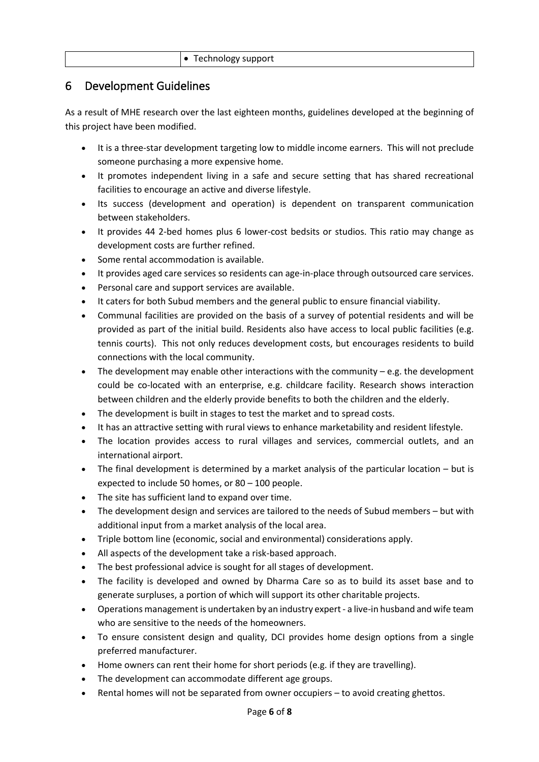#### <span id="page-5-0"></span>6 Development Guidelines

As a result of MHE research over the last eighteen months, guidelines developed at the beginning of this project have been modified.

- It is a three-star development targeting low to middle income earners. This will not preclude someone purchasing a more expensive home.
- It promotes independent living in a safe and secure setting that has shared recreational facilities to encourage an active and diverse lifestyle.
- Its success (development and operation) is dependent on transparent communication between stakeholders.
- It provides 44 2-bed homes plus 6 lower-cost bedsits or studios. This ratio may change as development costs are further refined.
- Some rental accommodation is available.
- It provides aged care services so residents can age-in-place through outsourced care services.
- Personal care and support services are available.
- It caters for both Subud members and the general public to ensure financial viability.
- Communal facilities are provided on the basis of a survey of potential residents and will be provided as part of the initial build. Residents also have access to local public facilities (e.g. tennis courts). This not only reduces development costs, but encourages residents to build connections with the local community.
- The development may enable other interactions with the community  $-e.g.$  the development could be co-located with an enterprise, e.g. childcare facility. Research shows interaction between children and the elderly provide benefits to both the children and the elderly.
- The development is built in stages to test the market and to spread costs.
- It has an attractive setting with rural views to enhance marketability and resident lifestyle.
- The location provides access to rural villages and services, commercial outlets, and an international airport.
- The final development is determined by a market analysis of the particular location but is expected to include 50 homes, or 80 – 100 people.
- The site has sufficient land to expand over time.
- The development design and services are tailored to the needs of Subud members but with additional input from a market analysis of the local area.
- Triple bottom line (economic, social and environmental) considerations apply.
- All aspects of the development take a risk-based approach.
- The best professional advice is sought for all stages of development.
- The facility is developed and owned by Dharma Care so as to build its asset base and to generate surpluses, a portion of which will support its other charitable projects.
- Operations management is undertaken by an industry expert- a live-in husband and wife team who are sensitive to the needs of the homeowners.
- To ensure consistent design and quality, DCI provides home design options from a single preferred manufacturer.
- Home owners can rent their home for short periods (e.g. if they are travelling).
- The development can accommodate different age groups.
- Rental homes will not be separated from owner occupiers to avoid creating ghettos.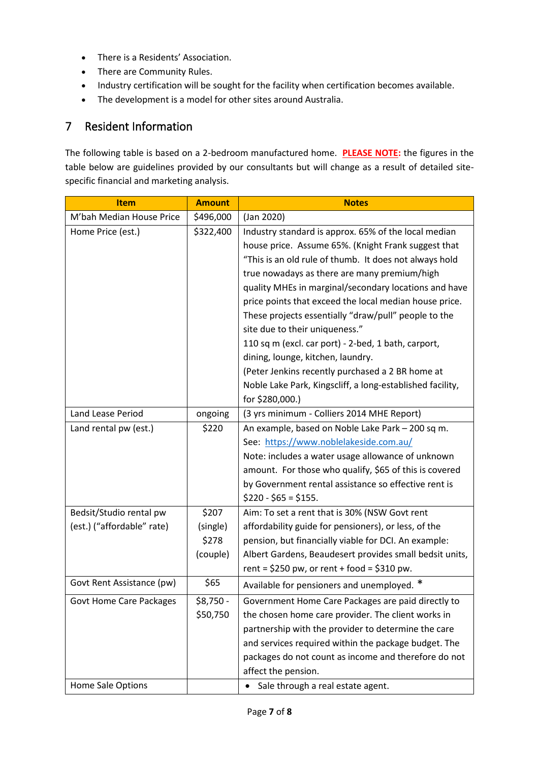- There is a Residents' Association.
- There are Community Rules.
- Industry certification will be sought for the facility when certification becomes available.
- The development is a model for other sites around Australia.

#### <span id="page-6-0"></span>7 Resident Information

The following table is based on a 2-bedroom manufactured home. **PLEASE NOTE:** the figures in the table below are guidelines provided by our consultants but will change as a result of detailed sitespecific financial and marketing analysis.

| <b>Item</b>                    | <b>Amount</b> | <b>Notes</b>                                              |
|--------------------------------|---------------|-----------------------------------------------------------|
| M'bah Median House Price       | \$496,000     | (Jan 2020)                                                |
| Home Price (est.)              | \$322,400     | Industry standard is approx. 65% of the local median      |
|                                |               | house price. Assume 65%. (Knight Frank suggest that       |
|                                |               | "This is an old rule of thumb. It does not always hold    |
|                                |               | true nowadays as there are many premium/high              |
|                                |               | quality MHEs in marginal/secondary locations and have     |
|                                |               | price points that exceed the local median house price.    |
|                                |               | These projects essentially "draw/pull" people to the      |
|                                |               | site due to their uniqueness."                            |
|                                |               | 110 sq m (excl. car port) - 2-bed, 1 bath, carport,       |
|                                |               | dining, lounge, kitchen, laundry.                         |
|                                |               | (Peter Jenkins recently purchased a 2 BR home at          |
|                                |               | Noble Lake Park, Kingscliff, a long-established facility, |
|                                |               | for \$280,000.)                                           |
| Land Lease Period              | ongoing       | (3 yrs minimum - Colliers 2014 MHE Report)                |
| Land rental pw (est.)          | \$220         | An example, based on Noble Lake Park - 200 sq m.          |
|                                |               | See: https://www.noblelakeside.com.au/                    |
|                                |               | Note: includes a water usage allowance of unknown         |
|                                |               | amount. For those who qualify, \$65 of this is covered    |
|                                |               | by Government rental assistance so effective rent is      |
|                                |               | $$220 - $65 = $155.$                                      |
| Bedsit/Studio rental pw        | \$207         | Aim: To set a rent that is 30% (NSW Govt rent             |
| (est.) ("affordable" rate)     | (single)      | affordability guide for pensioners), or less, of the      |
|                                | \$278         | pension, but financially viable for DCI. An example:      |
|                                | (couple)      | Albert Gardens, Beaudesert provides small bedsit units,   |
|                                |               | rent = $$250$ pw, or rent + food = $$310$ pw.             |
| Govt Rent Assistance (pw)      | \$65          | Available for pensioners and unemployed. *                |
| <b>Govt Home Care Packages</b> | \$8,750 -     | Government Home Care Packages are paid directly to        |
|                                | \$50,750      | the chosen home care provider. The client works in        |
|                                |               | partnership with the provider to determine the care       |
|                                |               | and services required within the package budget. The      |
|                                |               | packages do not count as income and therefore do not      |
|                                |               | affect the pension.                                       |
| Home Sale Options              |               | Sale through a real estate agent.                         |